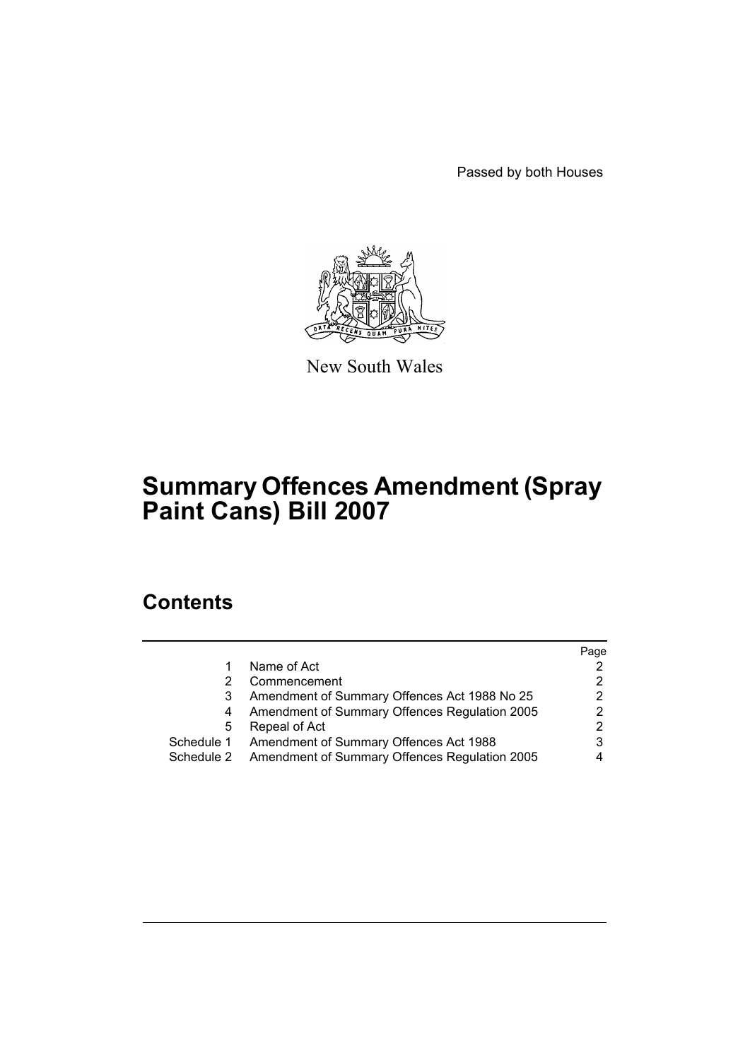Passed by both Houses



New South Wales

# **Summary Offences Amendment (Spray Paint Cans) Bill 2007**

## **Contents**

|            |                                               | Page                  |
|------------|-----------------------------------------------|-----------------------|
|            | Name of Act                                   | 2                     |
|            | Commencement                                  | $\mathbf{2}^{\prime}$ |
|            | Amendment of Summary Offences Act 1988 No 25  | 2                     |
| 4          | Amendment of Summary Offences Regulation 2005 | 2                     |
| 5          | Repeal of Act                                 | $\mathbf{2}^{\circ}$  |
| Schedule 1 | Amendment of Summary Offences Act 1988        | 3                     |
| Schedule 2 | Amendment of Summary Offences Regulation 2005 | 4                     |
|            |                                               |                       |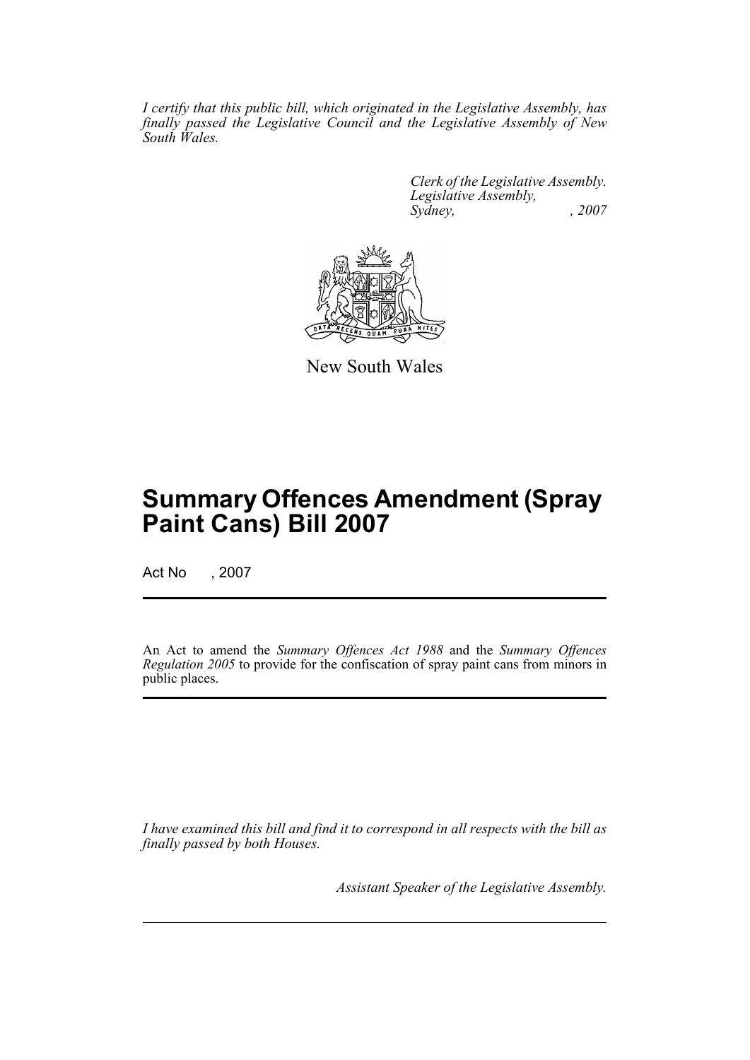*I certify that this public bill, which originated in the Legislative Assembly, has finally passed the Legislative Council and the Legislative Assembly of New South Wales.*

> *Clerk of the Legislative Assembly. Legislative Assembly, Sydney, , 2007*



New South Wales

## **Summary Offences Amendment (Spray Paint Cans) Bill 2007**

Act No , 2007

An Act to amend the *Summary Offences Act 1988* and the *Summary Offences Regulation 2005* to provide for the confiscation of spray paint cans from minors in public places.

*I have examined this bill and find it to correspond in all respects with the bill as finally passed by both Houses.*

*Assistant Speaker of the Legislative Assembly.*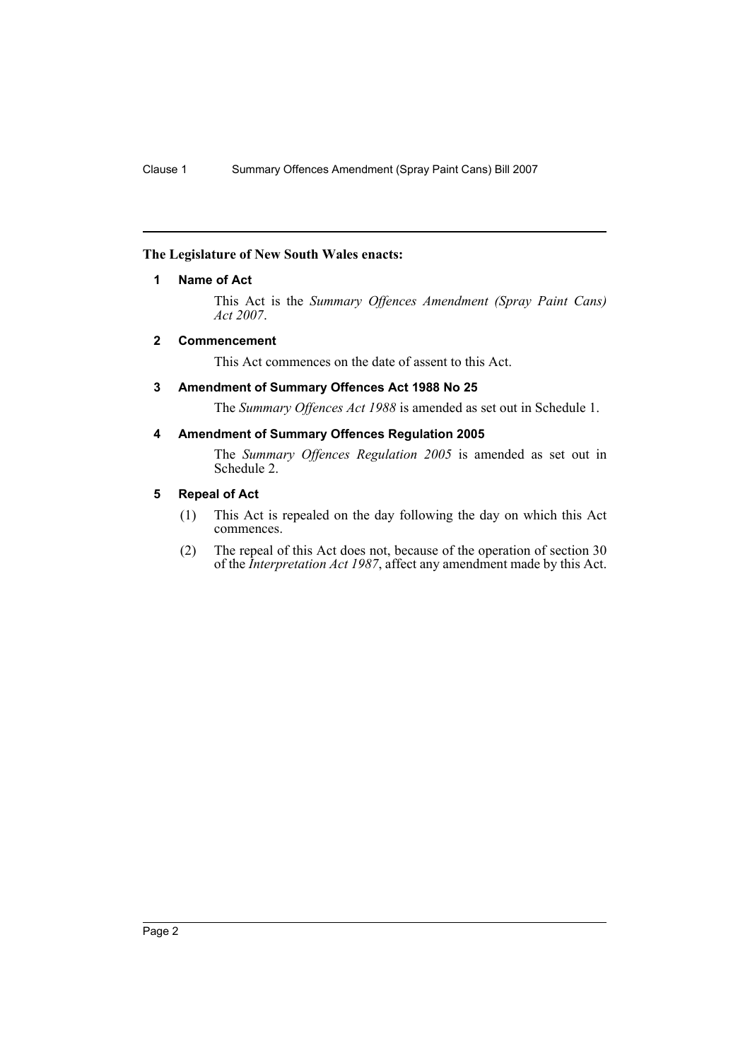#### <span id="page-2-0"></span>**The Legislature of New South Wales enacts:**

#### **1 Name of Act**

This Act is the *Summary Offences Amendment (Spray Paint Cans) Act 2007*.

#### <span id="page-2-1"></span>**2 Commencement**

This Act commences on the date of assent to this Act.

#### <span id="page-2-2"></span>**3 Amendment of Summary Offences Act 1988 No 25**

The *Summary Offences Act 1988* is amended as set out in Schedule 1.

#### <span id="page-2-3"></span>**4 Amendment of Summary Offences Regulation 2005**

The *Summary Offences Regulation 2005* is amended as set out in Schedule 2.

#### <span id="page-2-4"></span>**5 Repeal of Act**

- (1) This Act is repealed on the day following the day on which this Act commences.
- (2) The repeal of this Act does not, because of the operation of section 30 of the *Interpretation Act 1987*, affect any amendment made by this Act.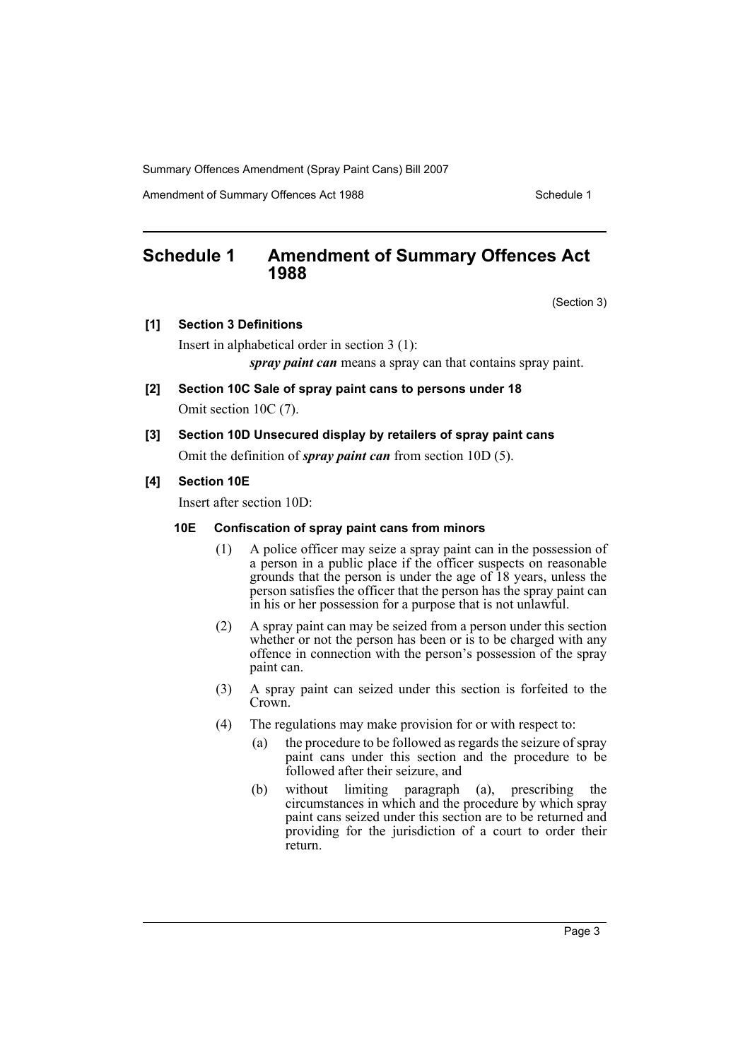Amendment of Summary Offences Act 1988 Schedule 1

## <span id="page-3-0"></span>**Schedule 1 Amendment of Summary Offences Act 1988**

(Section 3)

**[1] Section 3 Definitions**

Insert in alphabetical order in section 3 (1):

*spray paint can* means a spray can that contains spray paint.

**[2] Section 10C Sale of spray paint cans to persons under 18**

Omit section 10C (7).

**[3] Section 10D Unsecured display by retailers of spray paint cans** Omit the definition of *spray paint can* from section 10D (5).

#### **[4] Section 10E**

Insert after section 10D:

#### **10E Confiscation of spray paint cans from minors**

- (1) A police officer may seize a spray paint can in the possession of a person in a public place if the officer suspects on reasonable grounds that the person is under the age of 18 years, unless the person satisfies the officer that the person has the spray paint can in his or her possession for a purpose that is not unlawful.
- (2) A spray paint can may be seized from a person under this section whether or not the person has been or is to be charged with any offence in connection with the person's possession of the spray paint can.
- (3) A spray paint can seized under this section is forfeited to the Crown.
- (4) The regulations may make provision for or with respect to:
	- (a) the procedure to be followed as regards the seizure of spray paint cans under this section and the procedure to be followed after their seizure, and
	- (b) without limiting paragraph (a), prescribing the circumstances in which and the procedure by which spray paint cans seized under this section are to be returned and providing for the jurisdiction of a court to order their return.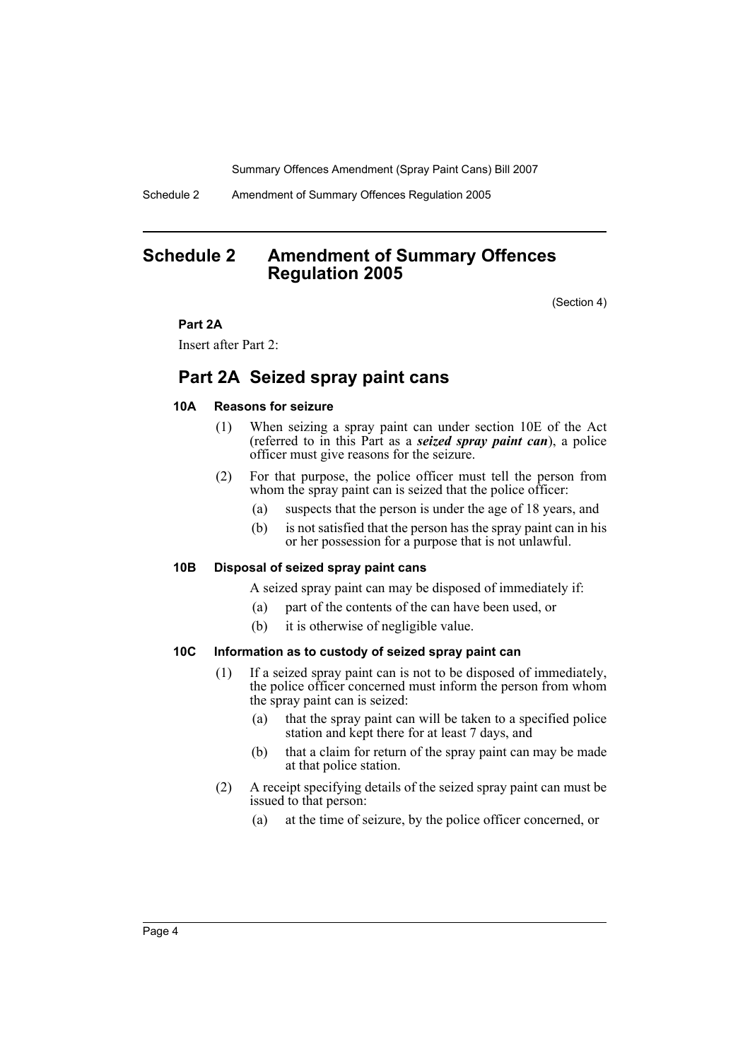Schedule 2 Amendment of Summary Offences Regulation 2005

### <span id="page-4-0"></span>**Schedule 2 Amendment of Summary Offences Regulation 2005**

(Section 4)

#### **Part 2A**

Insert after Part 2:

### **Part 2A Seized spray paint cans**

#### **10A Reasons for seizure**

- (1) When seizing a spray paint can under section 10E of the Act (referred to in this Part as a *seized spray paint can*), a police officer must give reasons for the seizure.
- (2) For that purpose, the police officer must tell the person from whom the spray paint can is seized that the police officer:
	- (a) suspects that the person is under the age of 18 years, and
	- (b) is not satisfied that the person has the spray paint can in his or her possession for a purpose that is not unlawful.

#### **10B Disposal of seized spray paint cans**

A seized spray paint can may be disposed of immediately if:

- (a) part of the contents of the can have been used, or
- (b) it is otherwise of negligible value.

#### **10C Information as to custody of seized spray paint can**

- (1) If a seized spray paint can is not to be disposed of immediately, the police officer concerned must inform the person from whom the spray paint can is seized:
	- (a) that the spray paint can will be taken to a specified police station and kept there for at least 7 days, and
	- (b) that a claim for return of the spray paint can may be made at that police station.
- (2) A receipt specifying details of the seized spray paint can must be issued to that person:
	- (a) at the time of seizure, by the police officer concerned, or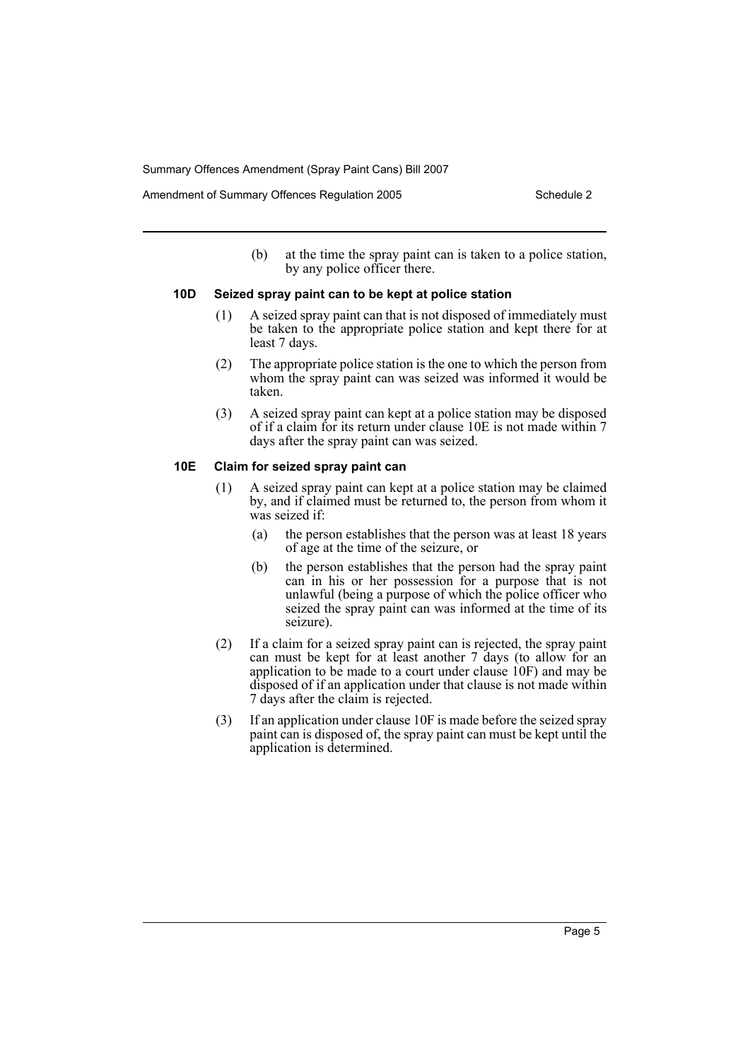(b) at the time the spray paint can is taken to a police station, by any police officer there.

#### **10D Seized spray paint can to be kept at police station**

- (1) A seized spray paint can that is not disposed of immediately must be taken to the appropriate police station and kept there for at least 7 days.
- (2) The appropriate police station is the one to which the person from whom the spray paint can was seized was informed it would be taken.
- (3) A seized spray paint can kept at a police station may be disposed of if a claim for its return under clause 10E is not made within 7 days after the spray paint can was seized.

#### **10E Claim for seized spray paint can**

- (1) A seized spray paint can kept at a police station may be claimed by, and if claimed must be returned to, the person from whom it was seized if:
	- (a) the person establishes that the person was at least 18 years of age at the time of the seizure, or
	- (b) the person establishes that the person had the spray paint can in his or her possession for a purpose that is not unlawful (being a purpose of which the police officer who seized the spray paint can was informed at the time of its seizure).
- (2) If a claim for a seized spray paint can is rejected, the spray paint can must be kept for at least another 7 days (to allow for an application to be made to a court under clause 10F) and may be disposed of if an application under that clause is not made within 7 days after the claim is rejected.
- (3) If an application under clause 10F is made before the seized spray paint can is disposed of, the spray paint can must be kept until the application is determined.